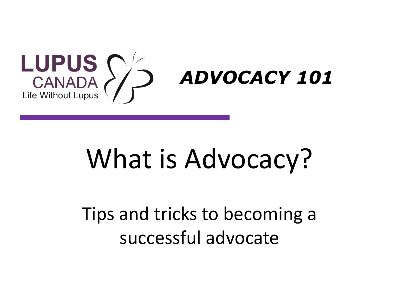

# What is Advocacy?

# Tips and tricks to becoming a successful advocate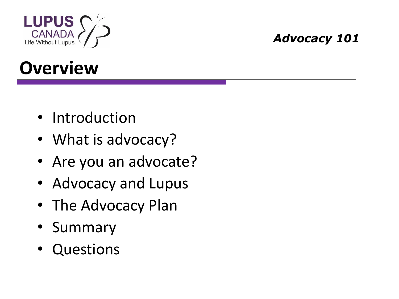

### **Overview**

- Introduction
- What is advocacy?
- Are you an advocate?
- Advocacy and Lupus
- The Advocacy Plan
- Summary
- Questions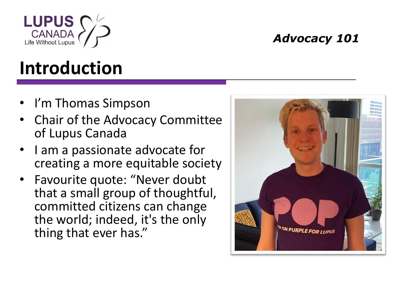

# **Introduction**

- I'm Thomas Simpson
- Chair of the Advocacy Committee of Lupus Canada
- I am a passionate advocate for creating a more equitable society
- Favourite quote: "Never doubt that a small group of thoughtful, committed citizens can change the world; indeed, it's the only thing that ever has."

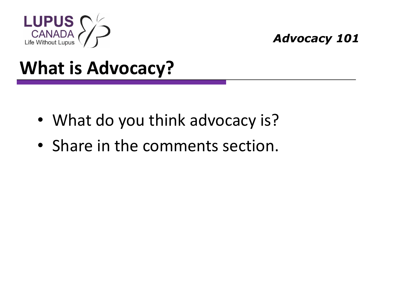

- What do you think advocacy is?
- Share in the comments section.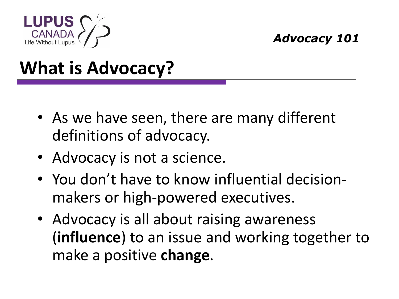

- As we have seen, there are many different definitions of advocacy.
- Advocacy is not a science.
- You don't have to know influential decisionmakers or high-powered executives.
- Advocacy is all about raising awareness (**influence**) to an issue and working together to make a positive **change**.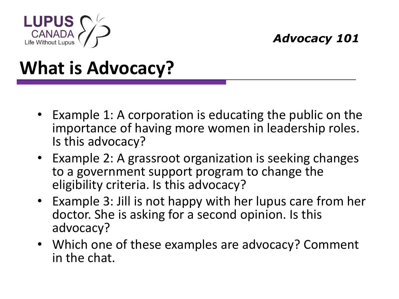

- Example 1: A corporation is educating the public on the importance of having more women in leadership roles. Is this advocacy?
- Example 2: A grassroot organization is seeking changes to a government support program to change the eligibility criteria. Is this advocacy?
- Example 3: Jill is not happy with her lupus care from her doctor. She is asking for a second opinion. Is this advocacy?
- Which one of these examples are advocacy? Comment in the chat.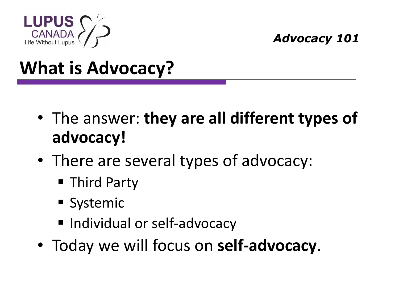

- The answer: **they are all different types of advocacy!**
- There are several types of advocacy:
	- Third Party
	- Systemic
	- Individual or self-advocacy
- Today we will focus on **self-advocacy**.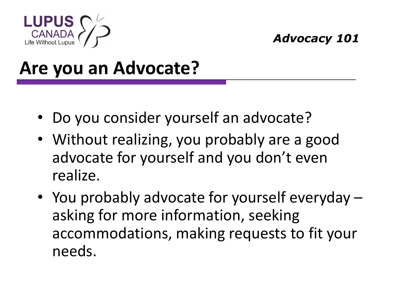

#### **Are you an Advocate?**

- Do you consider yourself an advocate?
- Without realizing, you probably are a good advocate for yourself and you don't even realize.
- You probably advocate for yourself everyday asking for more information, seeking accommodations, making requests to fit your needs.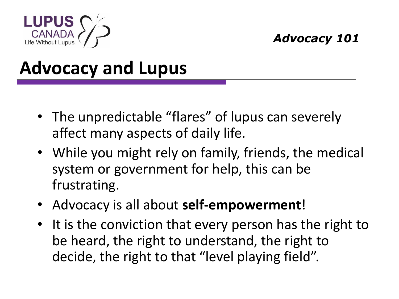

#### **Advocacy and Lupus**

- The unpredictable "flares" of lupus can severely affect many aspects of daily life.
- While you might rely on family, friends, the medical system or government for help, this can be frustrating.
- Advocacy is all about **self-empowerment**!
- It is the conviction that every person has the right to be heard, the right to understand, the right to decide, the right to that "level playing field".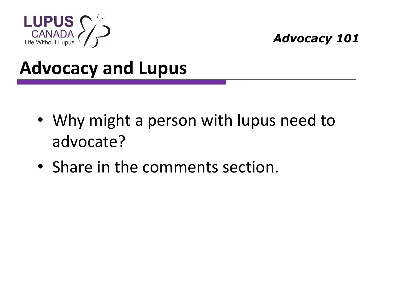

#### **Advocacy and Lupus**

- Why might a person with lupus need to advocate?
- Share in the comments section.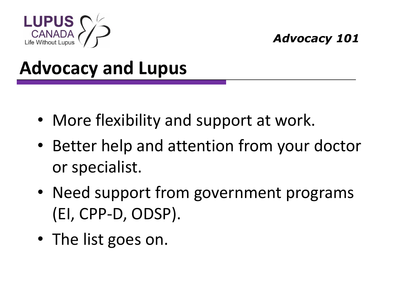

#### **Advocacy and Lupus**

- More flexibility and support at work.
- Better help and attention from your doctor or specialist.
- Need support from government programs (EI, CPP-D, ODSP).
- The list goes on.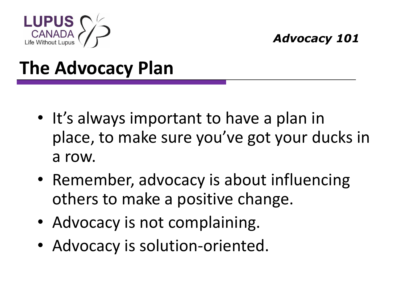

- It's always important to have a plan in place, to make sure you've got your ducks in a row.
- Remember, advocacy is about influencing others to make a positive change.
- Advocacy is not complaining.
- Advocacy is solution-oriented.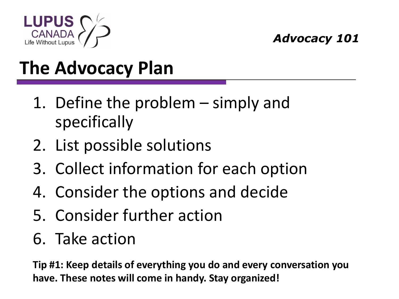

- 1. Define the problem simply and specifically
- 2. List possible solutions
- 3. Collect information for each option
- 4. Consider the options and decide
- 5. Consider further action
- 6. Take action

**Tip #1: Keep details of everything you do and every conversation you have. These notes will come in handy. Stay organized!**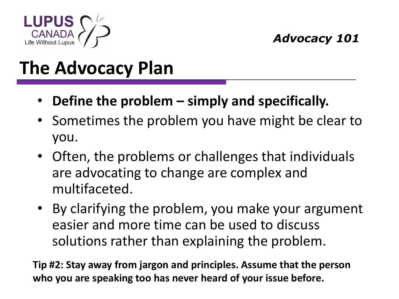

- **Define the problem – simply and specifically.**
- Sometimes the problem you have might be clear to you.
- Often, the problems or challenges that individuals are advocating to change are complex and multifaceted.
- By clarifying the problem, you make your argument easier and more time can be used to discuss solutions rather than explaining the problem.

**Tip #2: Stay away from jargon and principles. Assume that the person who you are speaking too has never heard of your issue before.**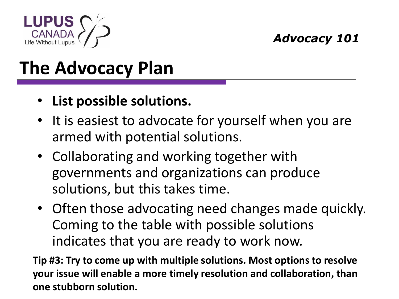

- **List possible solutions.**
- It is easiest to advocate for yourself when you are armed with potential solutions.
- Collaborating and working together with governments and organizations can produce solutions, but this takes time.
- Often those advocating need changes made quickly. Coming to the table with possible solutions indicates that you are ready to work now.

**Tip #3: Try to come up with multiple solutions. Most options to resolve your issue will enable a more timely resolution and collaboration, than one stubborn solution.**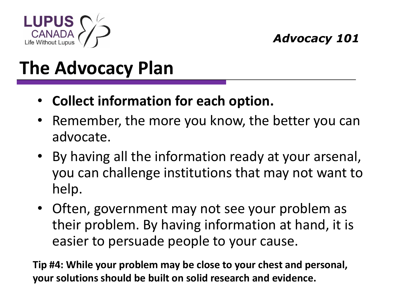

- **Collect information for each option.**
- Remember, the more you know, the better you can advocate.
- By having all the information ready at your arsenal, you can challenge institutions that may not want to help.
- Often, government may not see your problem as their problem. By having information at hand, it is easier to persuade people to your cause.

**Tip #4: While your problem may be close to your chest and personal, your solutions should be built on solid research and evidence.**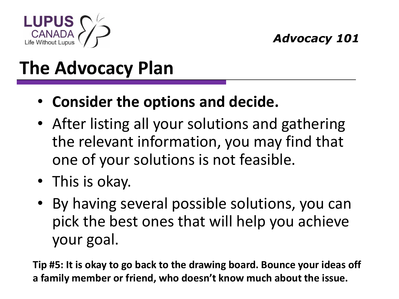

- **Consider the options and decide.**
- After listing all your solutions and gathering the relevant information, you may find that one of your solutions is not feasible.
- This is okay.
- By having several possible solutions, you can pick the best ones that will help you achieve your goal.

**Tip #5: It is okay to go back to the drawing board. Bounce your ideas off a family member or friend, who doesn't know much about the issue.**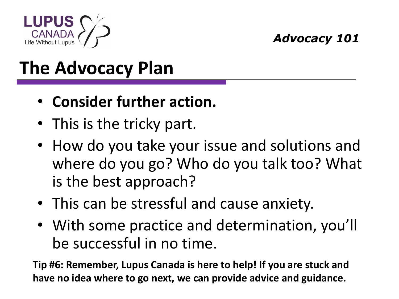

- **Consider further action.**
- This is the tricky part.
- How do you take your issue and solutions and where do you go? Who do you talk too? What is the best approach?
- This can be stressful and cause anxiety.
- With some practice and determination, you'll be successful in no time.

**Tip #6: Remember, Lupus Canada is here to help! If you are stuck and have no idea where to go next, we can provide advice and guidance.**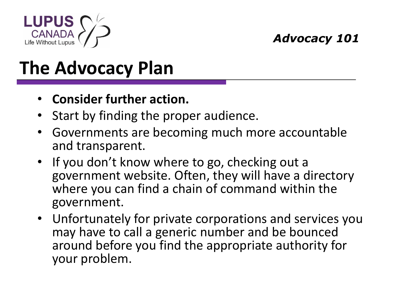

## **The Advocacy Plan**

#### • **Consider further action.**

- Start by finding the proper audience.
- Governments are becoming much more accountable and transparent.
- If you don't know where to go, checking out a government website. Often, they will have a directory where you can find a chain of command within the government.
- Unfortunately for private corporations and services you may have to call a generic number and be bounced around before you find the appropriate authority for your problem.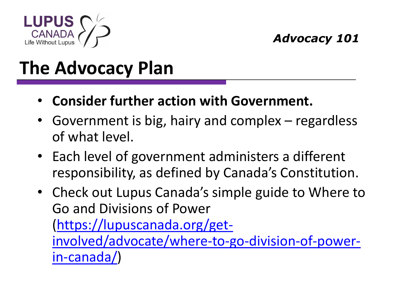

- **Consider further action with Government.**
- Government is big, hairy and complex regardless of what level.
- Each level of government administers a different responsibility, as defined by Canada's Constitution.
- Check out Lupus Canada's simple guide to Where to Go and Divisions of Power (https://lupuscanada.org/get[involved/advocate/where-to-go-division-of-power](https://lupuscanada.org/get-involved/advocate/where-to-go-division-of-power-in-canada/)in-canada/)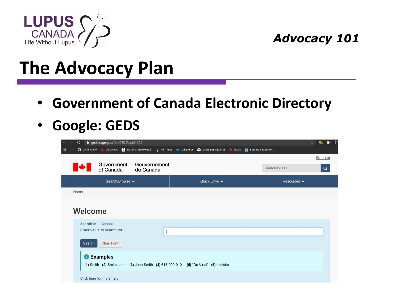

#### **The Advocacy Plan**

- **Government of Canada Electronic Directory**
- **Google: GEDS**

| $\mathbf{C}$<br>e geds-sage.gc.ca/en/GEDS?pgid=002                                                                                                                          |                                   |             | A.<br>∗<br>☆ |
|-----------------------------------------------------------------------------------------------------------------------------------------------------------------------------|-----------------------------------|-------------|--------------|
| <b>1</b> CBC News <b>a</b> National Newswatch <b>A</b> Hill Times <b>A</b> Salesforce <b>A</b> Campaign Monitor ↓ GCOS <a> <b>S</b> Bourinots Rules or<br/>C CNIB Today</a> |                                   |             |              |
|                                                                                                                                                                             |                                   |             | Français     |
| Government<br>Gouvernement<br>of Canada<br>du Canada                                                                                                                        |                                   | Search GEDS | $\alpha$     |
| Search/Browse v                                                                                                                                                             | Quick Links $\blacktriangleright$ | Resources v |              |
| Home                                                                                                                                                                        |                                   |             |              |
|                                                                                                                                                                             |                                   |             |              |
| <b>Welcome</b>                                                                                                                                                              |                                   |             |              |
| Search in: Canada                                                                                                                                                           |                                   |             |              |
| Enter value to search for:                                                                                                                                                  |                                   |             |              |
| Clear Form<br>Search                                                                                                                                                        |                                   |             |              |
| <b>C</b> Examples<br>(1) Smith (2) Smith, John (3) John Smith (4) 613-999-0101 (5) "Da Vinci" (6) minister                                                                  |                                   |             |              |
| Click here for more help.                                                                                                                                                   |                                   |             |              |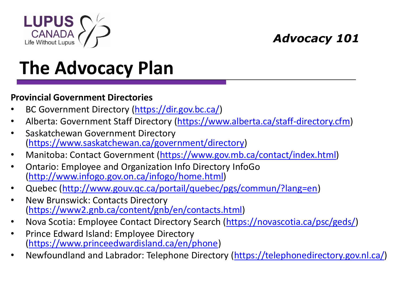

# **The Advocacy Plan**

#### **Provincial Government Directories**

- BC Government Directory [\(https://dir.gov.bc.ca/](https://dir.gov.bc.ca/))
- Alberta: Government Staff Directory ([https://www.alberta.ca/staff-directory.cfm\)](https://www.alberta.ca/staff-directory.cfm)
- Saskatchewan Government Directory (<https://www.saskatchewan.ca/government/directory>)
- Manitoba: Contact Government ([https://www.gov.mb.ca/contact/index.html\)](https://www.gov.mb.ca/contact/index.html)
- Ontario: Employee and Organization Info Directory InfoGo (<http://www.infogo.gov.on.ca/infogo/home.html>)
- Quebec [\(http://www.gouv.qc.ca/portail/quebec/pgs/commun/?lang=en](http://www.gouv.qc.ca/portail/quebec/pgs/commun/?lang=en))
- New Brunswick: Contacts Directory (<https://www2.gnb.ca/content/gnb/en/contacts.html>)
- Nova Scotia: Employee Contact Directory Search ([https://novascotia.ca/psc/geds/\)](https://novascotia.ca/psc/geds/)
- Prince Edward Island: Employee Directory ([https://www.princeedwardisland.ca/en/phone\)](https://www.princeedwardisland.ca/en/phone)
- Newfoundland and Labrador: Telephone Directory (<https://telephonedirectory.gov.nl.ca/>)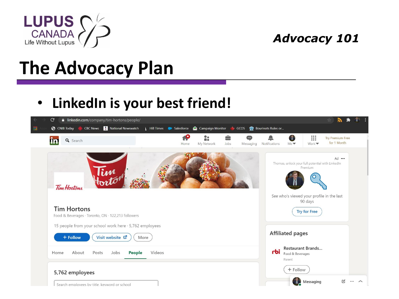

#### **The Advocacy Plan**

#### • **LinkedIn is your best friend!**

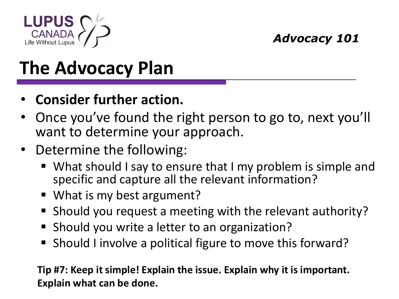

- **Consider further action.**
- Once you've found the right person to go to, next you'll want to determine your approach.
- Determine the following:
	- What should I say to ensure that I my problem is simple and specific and capture all the relevant information?
	- What is my best argument?
	- Should you request a meeting with the relevant authority?
	- Should you write a letter to an organization?
	- Should I involve a political figure to move this forward?

**Tip #7: Keep it simple! Explain the issue. Explain why it is important. Explain what can be done.**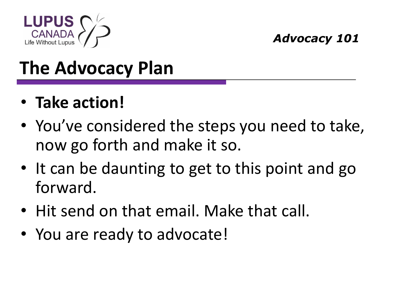

- **Take action!**
- You've considered the steps you need to take, now go forth and make it so.
- It can be daunting to get to this point and go forward.
- Hit send on that email. Make that call.
- You are ready to advocate!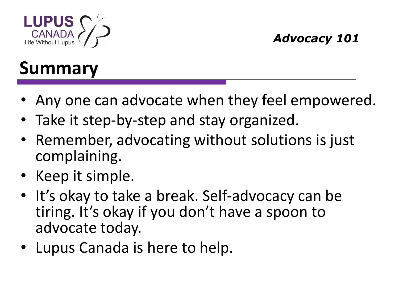

### **Summary**

- Any one can advocate when they feel empowered.
- Take it step-by-step and stay organized.
- Remember, advocating without solutions is just complaining.
- Keep it simple.
- It's okay to take a break. Self-advocacy can be tiring. It's okay if you don't have a spoon to advocate today.
- Lupus Canada is here to help.